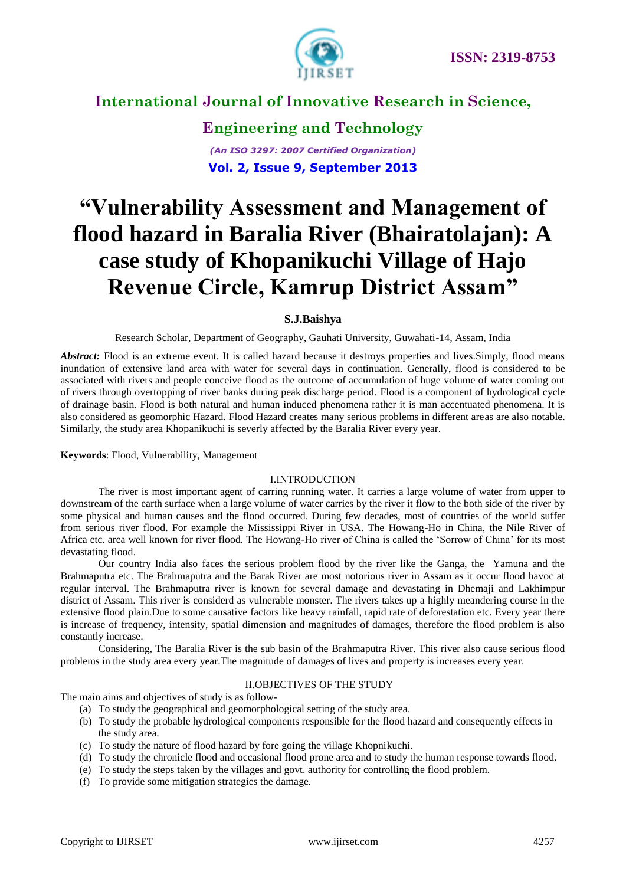

## **Engineering and Technology** *(An ISO 3297: 2007 Certified Organization)* **Vol. 2, Issue 9, September 2013**

# **"Vulnerability Assessment and Management of flood hazard in Baralia River (Bhairatolajan): A case study of Khopanikuchi Village of Hajo Revenue Circle, Kamrup District Assam"**

### **S.J.Baishya**

Research Scholar, Department of Geography, Gauhati University, Guwahati-14, Assam, India

Abstract: Flood is an extreme event. It is called hazard because it destroys properties and lives. Simply, flood means inundation of extensive land area with water for several days in continuation. Generally, flood is considered to be associated with rivers and people conceive flood as the outcome of accumulation of huge volume of water coming out of rivers through overtopping of river banks during peak discharge period. Flood is a component of hydrological cycle of drainage basin. Flood is both natural and human induced phenomena rather it is man accentuated phenomena. It is also considered as geomorphic Hazard. Flood Hazard creates many serious problems in different areas are also notable. Similarly, the study area Khopanikuchi is severly affected by the Baralia River every year.

#### **Keywords**: Flood, Vulnerability, Management

### I.INTRODUCTION

The river is most important agent of carring running water. It carries a large volume of water from upper to downstream of the earth surface when a large volume of water carries by the river it flow to the both side of the river by some physical and human causes and the flood occurred. During few decades, most of countries of the world suffer from serious river flood. For example the Mississippi River in USA. The Howang-Ho in China, the Nile River of Africa etc. area well known for river flood. The Howang-Ho river of China is called the "Sorrow of China" for its most devastating flood.

Our country India also faces the serious problem flood by the river like the Ganga, the Yamuna and the Brahmaputra etc. The Brahmaputra and the Barak River are most notorious river in Assam as it occur flood havoc at regular interval. The Brahmaputra river is known for several damage and devastating in Dhemaji and Lakhimpur district of Assam. This river is considerd as vulnerable monster. The rivers takes up a highly meandering course in the extensive flood plain.Due to some causative factors like heavy rainfall, rapid rate of deforestation etc. Every year there is increase of frequency, intensity, spatial dimension and magnitudes of damages, therefore the flood problem is also constantly increase.

Considering, The Baralia River is the sub basin of the Brahmaputra River. This river also cause serious flood problems in the study area every year.The magnitude of damages of lives and property is increases every year.

### II.OBJECTIVES OF THE STUDY

The main aims and objectives of study is as follow-

- (a) To study the geographical and geomorphological setting of the study area.
- (b) To study the probable hydrological components responsible for the flood hazard and consequently effects in the study area.
- (c) To study the nature of flood hazard by fore going the village Khopnikuchi.
- (d) To study the chronicle flood and occasional flood prone area and to study the human response towards flood.
- (e) To study the steps taken by the villages and govt. authority for controlling the flood problem.
- (f) To provide some mitigation strategies the damage.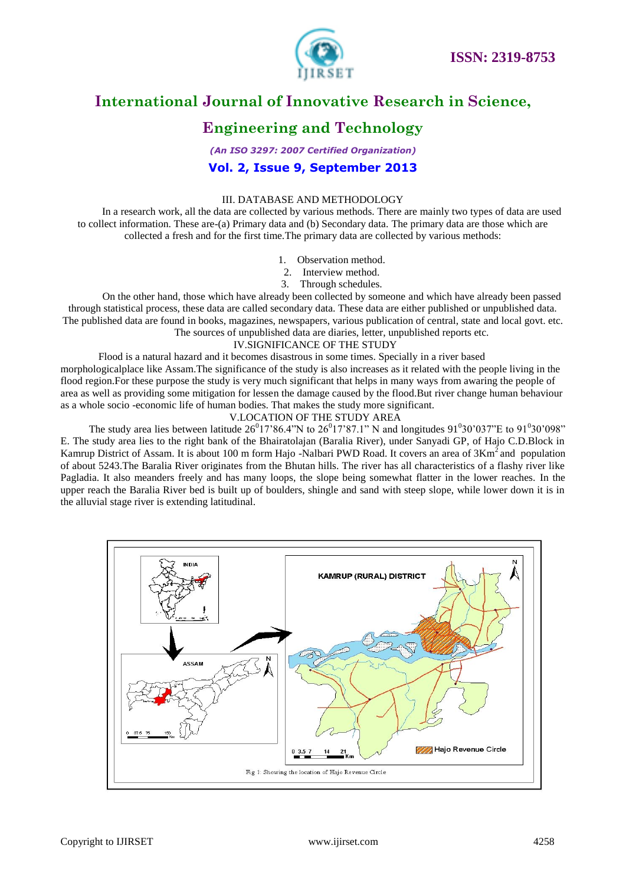

## **Engineering and Technology**

*(An ISO 3297: 2007 Certified Organization)* **Vol. 2, Issue 9, September 2013**

#### III. DATABASE AND METHODOLOGY

In a research work, all the data are collected by various methods. There are mainly two types of data are used to collect information. These are-(a) Primary data and (b) Secondary data. The primary data are those which are collected a fresh and for the first time.The primary data are collected by various methods:

- 1. Observation method.
- 2. Interview method.
- 3. Through schedules.

On the other hand, those which have already been collected by someone and which have already been passed through statistical process, these data are called secondary data. These data are either published or unpublished data. The published data are found in books, magazines, newspapers, various publication of central, state and local govt. etc. The sources of unpublished data are diaries, letter, unpublished reports etc.

#### IV.SIGNIFICANCE OF THE STUDY

Flood is a natural hazard and it becomes disastrous in some times. Specially in a river based morphologicalplace like Assam.The significance of the study is also increases as it related with the people living in the flood region.For these purpose the study is very much significant that helps in many ways from awaring the people of area as well as providing some mitigation for lessen the damage caused by the flood.But river change human behaviour as a whole socio -economic life of human bodies. That makes the study more significant.

### V.LOCATION OF THE STUDY AREA

The study area lies between latitude  $26^017'86.4''N$  to  $26^017'87.1''N$  and longitudes  $91^030'037''E$  to  $91^030'098''$ E. The study area lies to the right bank of the Bhairatolajan (Baralia River), under Sanyadi GP, of Hajo C.D.Block in Kamrup District of Assam. It is about 100 m form Hajo -Nalbari PWD Road. It covers an area of 3Km<sup>2</sup> and population of about 5243.The Baralia River originates from the Bhutan hills. The river has all characteristics of a flashy river like Pagladia. It also meanders freely and has many loops, the slope being somewhat flatter in the lower reaches. In the upper reach the Baralia River bed is built up of boulders, shingle and sand with steep slope, while lower down it is in the alluvial stage river is extending latitudinal.

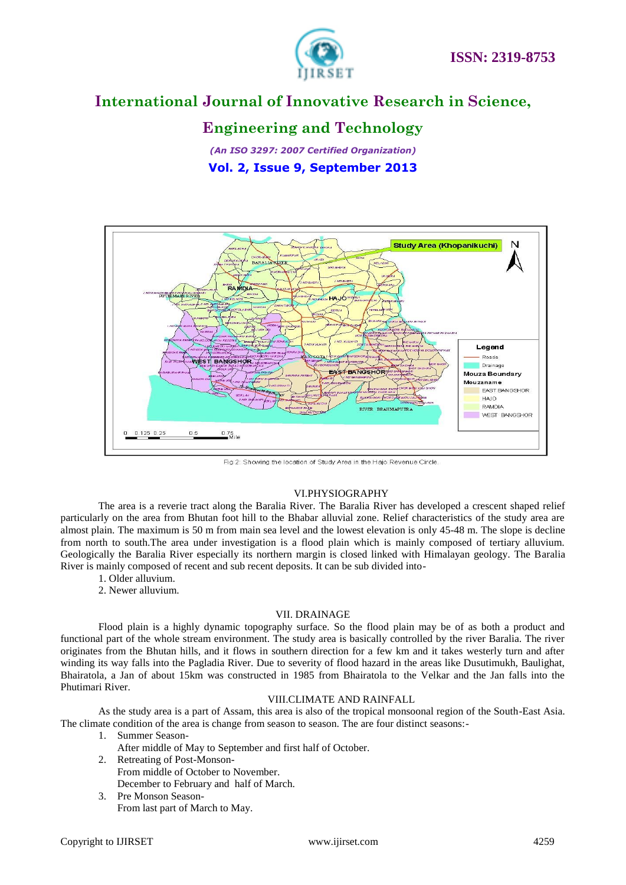

## **Engineering and Technology**

*(An ISO 3297: 2007 Certified Organization)* **Vol. 2, Issue 9, September 2013**



Fig 2: Showing the location of Study Area in the Hajo Revenue Circle.

### VI.PHYSIOGRAPHY

The area is a reverie tract along the Baralia River. The Baralia River has developed a crescent shaped relief particularly on the area from Bhutan foot hill to the Bhabar alluvial zone. Relief characteristics of the study area are almost plain. The maximum is 50 m from main sea level and the lowest elevation is only 45-48 m. The slope is decline from north to south.The area under investigation is a flood plain which is mainly composed of tertiary alluvium. Geologically the Baralia River especially its northern margin is closed linked with Himalayan geology. The Baralia River is mainly composed of recent and sub recent deposits. It can be sub divided into-

- 1. Older alluvium.
- 2. Newer alluvium.

### VII. DRAINAGE

Flood plain is a highly dynamic topography surface. So the flood plain may be of as both a product and functional part of the whole stream environment. The study area is basically controlled by the river Baralia. The river originates from the Bhutan hills, and it flows in southern direction for a few km and it takes westerly turn and after winding its way falls into the Pagladia River. Due to severity of flood hazard in the areas like Dusutimukh, Baulighat, Bhairatola, a Jan of about 15km was constructed in 1985 from Bhairatola to the Velkar and the Jan falls into the Phutimari River.

### VIII.CLIMATE AND RAINFALL

 As the study area is a part of Assam, this area is also of the tropical monsoonal region of the South-East Asia. The climate condition of the area is change from season to season. The are four distinct seasons:-

- 1. Summer Season-
	- After middle of May to September and first half of October.
- 2. Retreating of Post-Monson-From middle of October to November. December to February and half of March.
- 3. Pre Monson Season-From last part of March to May.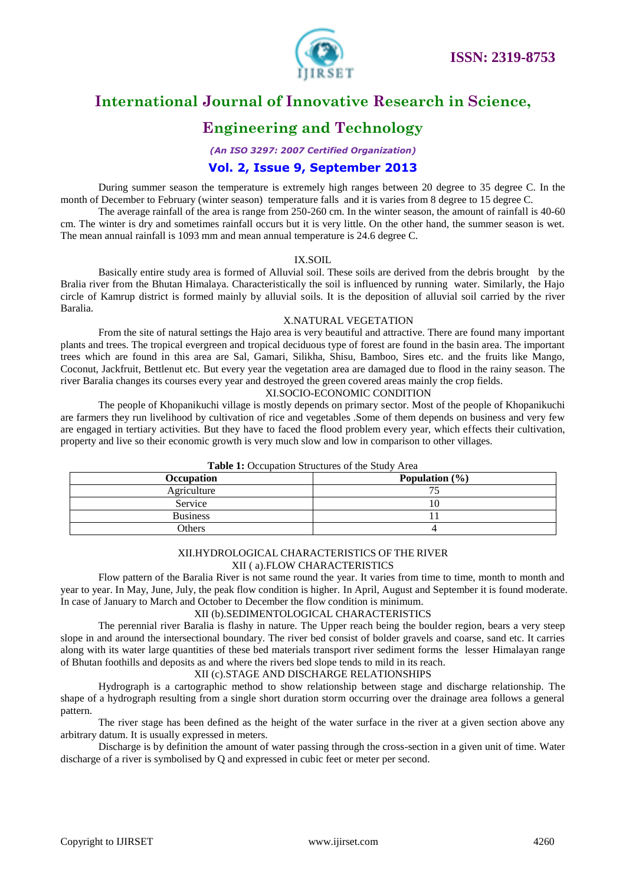

## **Engineering and Technology**

*(An ISO 3297: 2007 Certified Organization)*

### **Vol. 2, Issue 9, September 2013**

During summer season the temperature is extremely high ranges between 20 degree to 35 degree C. In the month of December to February (winter season) temperature falls and it is varies from 8 degree to 15 degree C.

The average rainfall of the area is range from 250-260 cm. In the winter season, the amount of rainfall is 40-60 cm. The winter is dry and sometimes rainfall occurs but it is very little. On the other hand, the summer season is wet. The mean annual rainfall is 1093 mm and mean annual temperature is 24.6 degree C.

### IX.SOIL

Basically entire study area is formed of Alluvial soil. These soils are derived from the debris brought by the Bralia river from the Bhutan Himalaya. Characteristically the soil is influenced by running water. Similarly, the Hajo circle of Kamrup district is formed mainly by alluvial soils. It is the deposition of alluvial soil carried by the river Baralia.

### X.NATURAL VEGETATION

From the site of natural settings the Hajo area is very beautiful and attractive. There are found many important plants and trees. The tropical evergreen and tropical deciduous type of forest are found in the basin area. The important trees which are found in this area are Sal, Gamari, Silikha, Shisu, Bamboo, Sires etc. and the fruits like Mango, Coconut, Jackfruit, Bettlenut etc. But every year the vegetation area are damaged due to flood in the rainy season. The river Baralia changes its courses every year and destroyed the green covered areas mainly the crop fields.

#### XI.SOCIO-ECONOMIC CONDITION

The people of Khopanikuchi village is mostly depends on primary sector. Most of the people of Khopanikuchi are farmers they run livelihood by cultivation of rice and vegetables .Some of them depends on business and very few are engaged in tertiary activities. But they have to faced the flood problem every year, which effects their cultivation, property and live so their economic growth is very much slow and low in comparison to other villages.

| Occupation      | Population $(\% )$ |
|-----------------|--------------------|
| Agriculture     |                    |
| Service         |                    |
| <b>Business</b> |                    |
| Others          |                    |

### **Table 1:** Occupation Structures of the Study Area

#### XII.HYDROLOGICAL CHARACTERISTICS OF THE RIVER XII ( a).FLOW CHARACTERISTICS

Flow pattern of the Baralia River is not same round the year. It varies from time to time, month to month and year to year. In May, June, July, the peak flow condition is higher. In April, August and September it is found moderate. In case of January to March and October to December the flow condition is minimum.

### XII (b).SEDIMENTOLOGICAL CHARACTERISTICS

The perennial river Baralia is flashy in nature. The Upper reach being the boulder region, bears a very steep slope in and around the intersectional boundary. The river bed consist of bolder gravels and coarse, sand etc. It carries along with its water large quantities of these bed materials transport river sediment forms the lesser Himalayan range of Bhutan foothills and deposits as and where the rivers bed slope tends to mild in its reach.

### XII (c).STAGE AND DISCHARGE RELATIONSHIPS

Hydrograph is a cartographic method to show relationship between stage and discharge relationship. The shape of a hydrograph resulting from a single short duration storm occurring over the drainage area follows a general pattern.

The river stage has been defined as the height of the water surface in the river at a given section above any arbitrary datum. It is usually expressed in meters.

Discharge is by definition the amount of water passing through the cross-section in a given unit of time. Water discharge of a river is symbolised by Q and expressed in cubic feet or meter per second.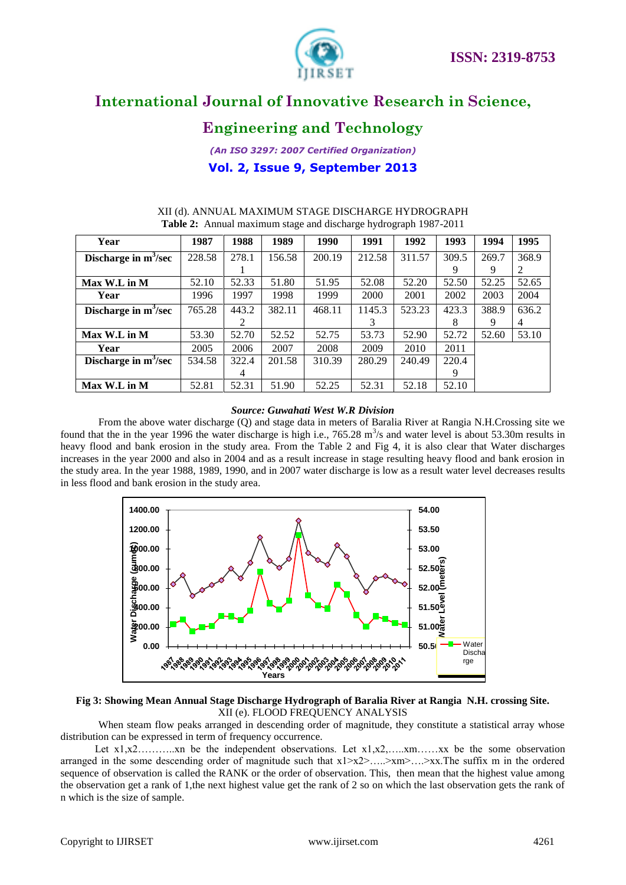

## **Engineering and Technology**

*(An ISO 3297: 2007 Certified Organization)* **Vol. 2, Issue 9, September 2013**

| Year                    | 1987   | 1988  | 1989   | 1990   | 1991   | 1992   | 1993  | 1994  | 1995  |
|-------------------------|--------|-------|--------|--------|--------|--------|-------|-------|-------|
| Discharge in $m^3$ /sec | 228.58 | 278.1 | 156.58 | 200.19 | 212.58 | 311.57 | 309.5 | 269.7 | 368.9 |
|                         |        |       |        |        |        |        | 9     | 9     | 2     |
| Max W.L in M            | 52.10  | 52.33 | 51.80  | 51.95  | 52.08  | 52.20  | 52.50 | 52.25 | 52.65 |
| Year                    | 1996   | 1997  | 1998   | 1999   | 2000   | 2001   | 2002  | 2003  | 2004  |
| Discharge in $m^3$ /sec | 765.28 | 443.2 | 382.11 | 468.11 | 1145.3 | 523.23 | 423.3 | 388.9 | 636.2 |
|                         |        | 2     |        |        | 3      |        | 8     | 9     | 4     |
| Max W.L in M            | 53.30  | 52.70 | 52.52  | 52.75  | 53.73  | 52.90  | 52.72 | 52.60 | 53.10 |
| Year                    | 2005   | 2006  | 2007   | 2008   | 2009   | 2010   | 2011  |       |       |
| Discharge in $m^3$ /sec | 534.58 | 322.4 | 201.58 | 310.39 | 280.29 | 240.49 | 220.4 |       |       |
|                         |        | 4     |        |        |        |        | 9     |       |       |
| Max W.L in M            | 52.81  | 52.31 | 51.90  | 52.25  | 52.31  | 52.18  | 52.10 |       |       |

### XII (d). ANNUAL MAXIMUM STAGE DISCHARGE HYDROGRAPH **Table 2:** Annual maximum stage and discharge hydrograph 1987-2011

### *Source: Guwahati West W.R Division*

From the above water discharge (Q) and stage data in meters of Baralia River at Rangia N.H.Crossing site we found that the in the year 1996 the water discharge is high i.e.,  $765.28 \text{ m}^3/\text{s}$  and water level is about 53.30m results in heavy flood and bank erosion in the study area. From the Table 2 and Fig 4, it is also clear that Water discharges increases in the year 2000 and also in 2004 and as a result increase in stage resulting heavy flood and bank erosion in the study area. In the year 1988, 1989, 1990, and in 2007 water discharge is low as a result water level decreases results in less flood and bank erosion in the study area.



### **Fig 3: Showing Mean Annual Stage Discharge Hydrograph of Baralia River at Rangia N.H. crossing Site.** XII (e). FLOOD FREQUENCY ANALYSIS

When steam flow peaks arranged in descending order of magnitude, they constitute a statistical array whose distribution can be expressed in term of frequency occurrence.

Let  $x_1, x_2, \ldots, x_n$  be the independent observations. Let  $x_1, x_2, \ldots, x_n, \ldots, x_n$  be the some observation arranged in the some descending order of magnitude such that  $x1 > x2 > ... > xm > ... > xx$ . The suffix m in the ordered sequence of observation is called the RANK or the order of observation. This, then mean that the highest value among the observation get a rank of 1,the next highest value get the rank of 2 so on which the last observation gets the rank of n which is the size of sample.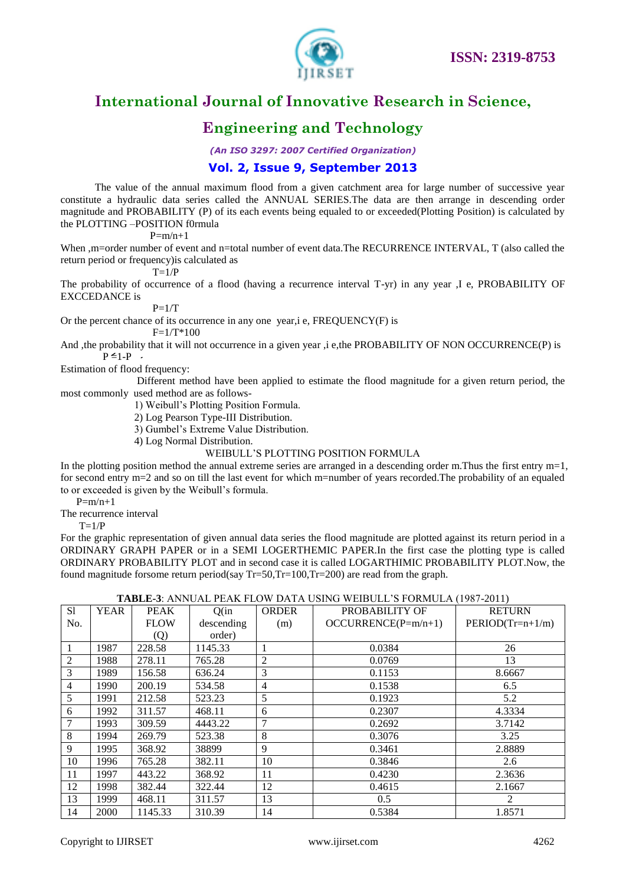

## **Engineering and Technology**

*(An ISO 3297: 2007 Certified Organization)*

### **Vol. 2, Issue 9, September 2013**

 The value of the annual maximum flood from a given catchment area for large number of successive year constitute a hydraulic data series called the ANNUAL SERIES.The data are then arrange in descending order magnitude and PROBABILITY (P) of its each events being equaled to or exceeded(Plotting Position) is calculated by the PLOTTING –POSITION f0rmula

 $P=m/n+1$ 

When ,m=order number of event and n=total number of event data.The RECURRENCE INTERVAL, T (also called the return period or frequency)is calculated as

 $T=1/P$ 

The probability of occurrence of a flood (having a recurrence interval T-yr) in any year ,I e, PROBABILITY OF EXCCEDANCE is

 $P=1/T$ 

Or the percent chance of its occurrence in any one year,i e, FREQUENCY(F) is

 $F=1/T*100$ 

And , the probability that it will not occurrence in a given year ,i e, the PROBABILITY OF NON OCCURRENCE(P) is  $P \leq 1-P$ .

Estimation of flood frequency:

 Different method have been applied to estimate the flood magnitude for a given return period, the most commonly used method are as follows-

1) Weibull"s Plotting Position Formula.

2) Log Pearson Type-III Distribution.

3) Gumbel"s Extreme Value Distribution.

4) Log Normal Distribution.

WEIBULL"S PLOTTING POSITION FORMULA

In the plotting position method the annual extreme series are arranged in a descending order m.Thus the first entry m=1, for second entry m=2 and so on till the last event for which m=number of years recorded.The probability of an equaled to or exceeded is given by the Weibull"s formula.

 $P=m/n+1$ 

The recurrence interval

 $T=1/P$ 

For the graphic representation of given annual data series the flood magnitude are plotted against its return period in a ORDINARY GRAPH PAPER or in a SEMI LOGERTHEMIC PAPER.In the first case the plotting type is called ORDINARY PROBABILITY PLOT and in second case it is called LOGARTHIMIC PROBABILITY PLOT.Now, the found magnitude forsome return period(say  $Tr=50$ , $Tr=100$ , $Tr=200$ ) are read from the graph.

### **TABLE-3**: ANNUAL PEAK FLOW DATA USING WEIBULL"S FORMULA (1987-2011)

|        |             |                   |            |                                |                       | .                  |
|--------|-------------|-------------------|------------|--------------------------------|-----------------------|--------------------|
| S1     | <b>YEAR</b> | <b>PEAK</b>       | Q(in)      | <b>ORDER</b><br>PROBABILITY OF |                       | <b>RETURN</b>      |
| No.    |             | <b>FLOW</b>       | descending | (m)                            | $OCCURRENCE(P=m/n+1)$ | $PERIOD(Tr=n+1/m)$ |
|        |             | $\left( Q\right)$ | order)     |                                |                       |                    |
|        | 1987        | 228.58            | 1145.33    |                                | 0.0384                | 26                 |
| 2      | 1988        | 278.11            | 765.28     | $\overline{2}$                 | 0.0769                | 13                 |
| 3      | 1989        | 156.58            | 636.24     | 3                              | 0.1153                | 8.6667             |
| 4      | 1990        | 200.19            | 534.58     | $\overline{4}$                 | 0.1538                | 6.5                |
| 5      | 1991        | 212.58            | 523.23     | 5                              | 0.1923                | 5.2                |
| 6      | 1992        | 311.57            | 468.11     | 6                              | 0.2307                | 4.3334             |
| $\tau$ | 1993        | 309.59            | 4443.22    | 7                              | 0.2692                | 3.7142             |
| 8      | 1994        | 269.79            | 523.38     | 8                              | 0.3076                | 3.25               |
| 9      | 1995        | 368.92            | 38899      | 9                              | 0.3461                | 2.8889             |
| 10     | 1996        | 765.28            | 382.11     | 10                             | 0.3846                | 2.6                |
| 11     | 1997        | 443.22            | 368.92     | 11                             | 0.4230                | 2.3636             |
| 12     | 1998        | 382.44            | 322.44     | 12                             | 0.4615                | 2.1667             |
| 13     | 1999        | 468.11            | 311.57     | 13                             | 0.5                   | 2                  |
| 14     | 2000        | 1145.33           | 310.39     | 14                             | 0.5384                | 1.8571             |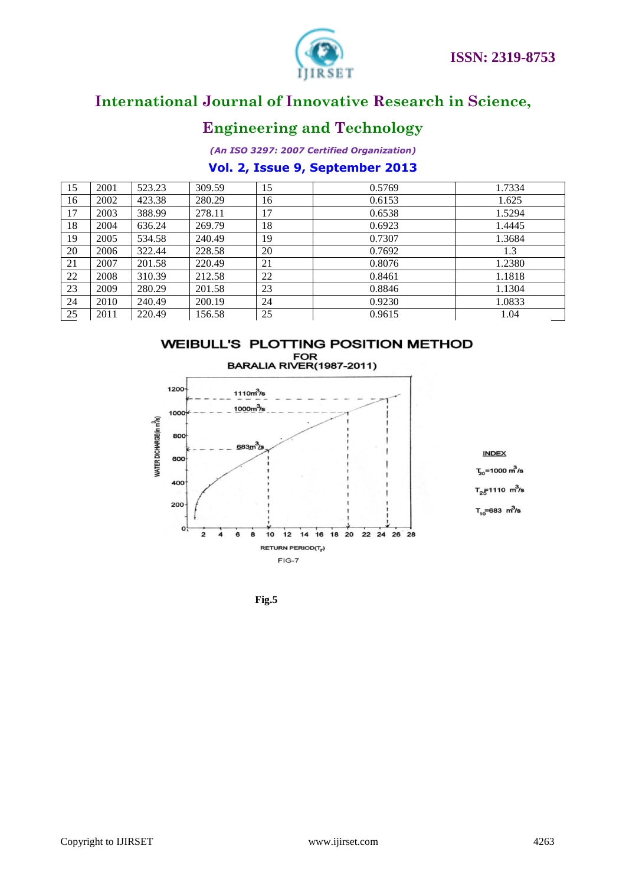

## **Engineering and Technology**

*(An ISO 3297: 2007 Certified Organization)*

### **Vol. 2, Issue 9, September 2013**

| 15 | 2001 | 523.23 | 309.59 | 15 | 0.5769 | 1.7334 |
|----|------|--------|--------|----|--------|--------|
| 16 | 2002 | 423.38 | 280.29 | 16 | 0.6153 | 1.625  |
| 17 | 2003 | 388.99 | 278.11 | 17 | 0.6538 | 1.5294 |
| 18 | 2004 | 636.24 | 269.79 | 18 | 0.6923 | 1.4445 |
| 19 | 2005 | 534.58 | 240.49 | 19 | 0.7307 | 1.3684 |
| 20 | 2006 | 322.44 | 228.58 | 20 | 0.7692 | 1.3    |
| 21 | 2007 | 201.58 | 220.49 | 21 | 0.8076 | 1.2380 |
| 22 | 2008 | 310.39 | 212.58 | 22 | 0.8461 | 1.1818 |
| 23 | 2009 | 280.29 | 201.58 | 23 | 0.8846 | 1.1304 |
| 24 | 2010 | 240.49 | 200.19 | 24 | 0.9230 | 1.0833 |
| 25 | 2011 | 220.49 | 156.58 | 25 | 0.9615 | 1.04   |





**Fig.5**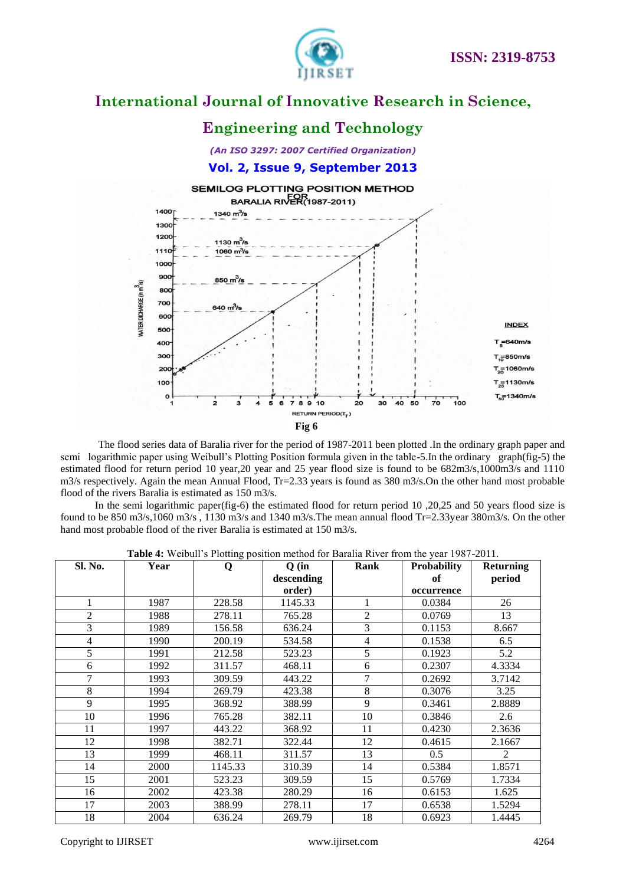

## **Engineering and Technology**

*(An ISO 3297: 2007 Certified Organization)*

### **Vol. 2, Issue 9, September 2013**



The flood series data of Baralia river for the period of 1987-2011 been plotted .In the ordinary graph paper and semi logarithmic paper using Weibull"s Plotting Position formula given in the table-5.In the ordinary graph(fig-5) the estimated flood for return period 10 year,20 year and 25 year flood size is found to be 682m3/s,1000m3/s and 1110 m3/s respectively. Again the mean Annual Flood, Tr=2.33 years is found as 380 m3/s.On the other hand most probable flood of the rivers Baralia is estimated as 150 m3/s.

In the semi logarithmic paper(fig-6) the estimated flood for return period 10,20,25 and 50 years flood size is found to be 850 m3/s,1060 m3/s, 1130 m3/s and 1340 m3/s. The mean annual flood Tr=2.33year 380m3/s. On the other hand most probable flood of the river Baralia is estimated at 150 m3/s.

| Sl. No. | Year | $\mathbf Q$ | Q(in)<br>descending | Rank           | <b>Probability</b><br>of | <b>Returning</b><br>period |
|---------|------|-------------|---------------------|----------------|--------------------------|----------------------------|
|         |      |             | order)              |                | occurrence               |                            |
| 1       | 1987 | 228.58      | 1145.33             |                | 0.0384                   | 26                         |
| 2       | 1988 | 278.11      | 765.28              | 2              | 0.0769                   | 13                         |
| 3       | 1989 | 156.58      | 636.24              | 3              | 0.1153                   | 8.667                      |
| 4       | 1990 | 200.19      | 534.58              | $\overline{4}$ | 0.1538                   | 6.5                        |
| 5       | 1991 | 212.58      | 523.23              | 5              | 0.1923                   | 5.2                        |
| 6       | 1992 | 311.57      | 468.11              | 6              | 0.2307                   | 4.3334                     |
| 7       | 1993 | 309.59      | 443.22              | 7              | 0.2692                   | 3.7142                     |
| 8       | 1994 | 269.79      | 423.38              | 8              | 0.3076                   | 3.25                       |
| 9       | 1995 | 368.92      | 388.99              | 9              | 0.3461                   | 2.8889                     |
| 10      | 1996 | 765.28      | 382.11              | 10             | 0.3846                   | 2.6                        |
| 11      | 1997 | 443.22      | 368.92              | 11             | 0.4230                   | 2.3636                     |
| 12      | 1998 | 382.71      | 322.44              | 12             | 0.4615                   | 2.1667                     |
| 13      | 1999 | 468.11      | 311.57              | 13             | 0.5                      | $\mathfrak{D}$             |
| 14      | 2000 | 1145.33     | 310.39              | 14             | 0.5384                   | 1.8571                     |
| 15      | 2001 | 523.23      | 309.59              | 15             | 0.5769                   | 1.7334                     |
| 16      | 2002 | 423.38      | 280.29              | 16             | 0.6153                   | 1.625                      |
| 17      | 2003 | 388.99      | 278.11              | 17             | 0.6538                   | 1.5294                     |
| 18      | 2004 | 636.24      | 269.79              | 18             | 0.6923                   | 1.4445                     |

|  |  | Table 4: Weibull's Plotting position method for Baralia River from the year 1987-2011. |  |  |  |  |  |  |  |
|--|--|----------------------------------------------------------------------------------------|--|--|--|--|--|--|--|
|--|--|----------------------------------------------------------------------------------------|--|--|--|--|--|--|--|

Copyright to IJIRSET [www.ijirset.com](http://www.ijirset.com/) 4264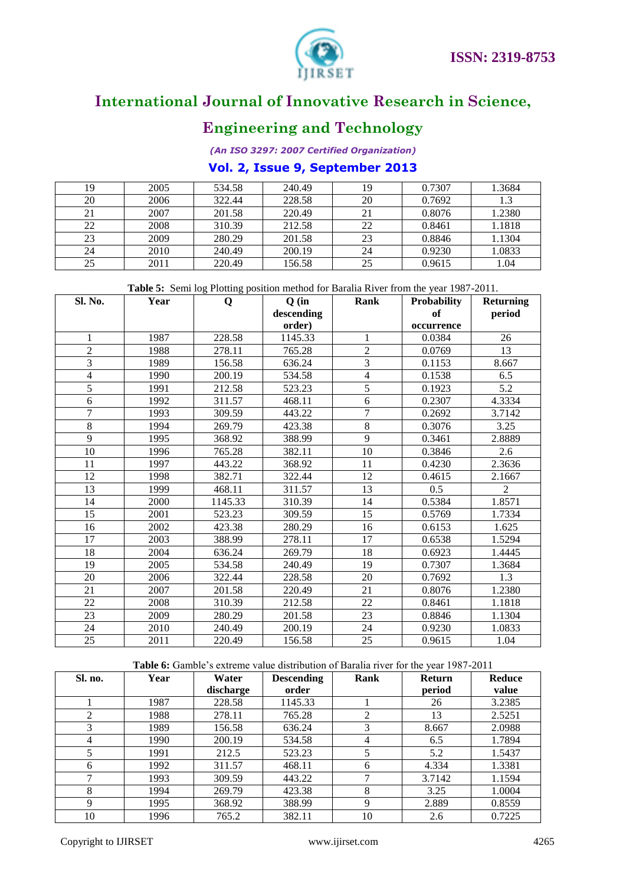

## **Engineering and Technology**

*(An ISO 3297: 2007 Certified Organization)*

### **Vol. 2, Issue 9, September 2013**

| 19 | 2005 | 534.58 | 240.49 | 19 | 0.7307 | 1.3684 |
|----|------|--------|--------|----|--------|--------|
| 20 | 2006 | 322.44 | 228.58 | 20 | 0.7692 | 1.3    |
| 21 | 2007 | 201.58 | 220.49 | 21 | 0.8076 | 1.2380 |
| 22 | 2008 | 310.39 | 212.58 | 22 | 0.8461 | 1.1818 |
| 23 | 2009 | 280.29 | 201.58 | 23 | 0.8846 | 1.1304 |
| 24 | 2010 | 240.49 | 200.19 | 24 | 0.9230 | 1.0833 |
| 25 | 2011 | 220.49 | 156.58 | 25 | 0.9615 | 1.04   |

**Table 5:** Semi log Plotting position method for Baralia River from the year 1987-2011.

| Sl. No.                  | Year | Q       | $Q$ (in              | Rank           | Probability<br>of | <b>Returning</b> |
|--------------------------|------|---------|----------------------|----------------|-------------------|------------------|
|                          |      |         | descending<br>order) |                | occurrence        | period           |
| $\mathbf{1}$             | 1987 | 228.58  | 1145.33              | $\mathbf 1$    | 0.0384            | 26               |
| $\overline{c}$           | 1988 | 278.11  | 765.28               | $\overline{c}$ | 0.0769            | 13               |
| 3                        | 1989 | 156.58  | 636.24               | 3              | 0.1153            | 8.667            |
| $\overline{\mathcal{L}}$ | 1990 | 200.19  | 534.58               | $\overline{4}$ | 0.1538            | 6.5              |
| 5                        | 1991 | 212.58  | 523.23               | 5              | 0.1923            | 5.2              |
| 6                        | 1992 | 311.57  | 468.11               | 6              | 0.2307            | 4.3334           |
| 7                        | 1993 | 309.59  | 443.22               | $\overline{7}$ | 0.2692            | 3.7142           |
| 8                        | 1994 | 269.79  | 423.38               | 8              | 0.3076            | 3.25             |
| 9                        | 1995 | 368.92  | 388.99               | 9              | 0.3461            | 2.8889           |
| $10\,$                   | 1996 | 765.28  | 382.11               | 10             | 0.3846            | 2.6              |
| 11                       | 1997 | 443.22  | 368.92               | 11             | 0.4230            | 2.3636           |
| 12                       | 1998 | 382.71  | 322.44               | 12             | 0.4615            | 2.1667           |
| 13                       | 1999 | 468.11  | 311.57               | 13             | 0.5               | $\mathfrak{D}$   |
| 14                       | 2000 | 1145.33 | 310.39               | 14             | 0.5384            | 1.8571           |
| 15                       | 2001 | 523.23  | 309.59               | 15             | 0.5769            | 1.7334           |
| 16                       | 2002 | 423.38  | 280.29               | 16             | 0.6153            | 1.625            |
| 17                       | 2003 | 388.99  | 278.11               | 17             | 0.6538            | 1.5294           |
| 18                       | 2004 | 636.24  | 269.79               | 18             | 0.6923            | 1.4445           |
| 19                       | 2005 | 534.58  | 240.49               | 19             | 0.7307            | 1.3684           |
| 20                       | 2006 | 322.44  | 228.58               | 20             | 0.7692            | 1.3              |
| 21                       | 2007 | 201.58  | 220.49               | 21             | 0.8076            | 1.2380           |
| 22                       | 2008 | 310.39  | 212.58               | 22             | 0.8461            | 1.1818           |
| 23                       | 2009 | 280.29  | 201.58               | 23             | 0.8846            | 1.1304           |
| 24                       | 2010 | 240.49  | 200.19               | 24             | 0.9230            | 1.0833           |
| 25                       | 2011 | 220.49  | 156.58               | 25             | 0.9615            | 1.04             |

### Table 6: Gamble's extreme value distribution of Baralia river for the year 1987-2011

| Sl. no. | Year | Water     | <b>Descending</b> | Rank | <b>Return</b> | <b>Reduce</b> |
|---------|------|-----------|-------------------|------|---------------|---------------|
|         |      | discharge | order             |      | period        | value         |
|         | 1987 | 228.58    | 1145.33           |      | 26            | 3.2385        |
| ∍       | 1988 | 278.11    | 765.28            | 2    | 13            | 2.5251        |
| 3       | 1989 | 156.58    | 636.24            |      | 8.667         | 2.0988        |
| 4       | 1990 | 200.19    | 534.58            | 4    | 6.5           | 1.7894        |
|         | 1991 | 212.5     | 523.23            | 5    | 5.2           | 1.5437        |
| 6       | 1992 | 311.57    | 468.11            | 6    | 4.334         | 1.3381        |
|         | 1993 | 309.59    | 443.22            |      | 3.7142        | 1.1594        |
| 8       | 1994 | 269.79    | 423.38            | 8    | 3.25          | 1.0004        |
| Q       | 1995 | 368.92    | 388.99            | 9    | 2.889         | 0.8559        |
| 10      | 1996 | 765.2     | 382.11            | 10   | 2.6           | 0.7225        |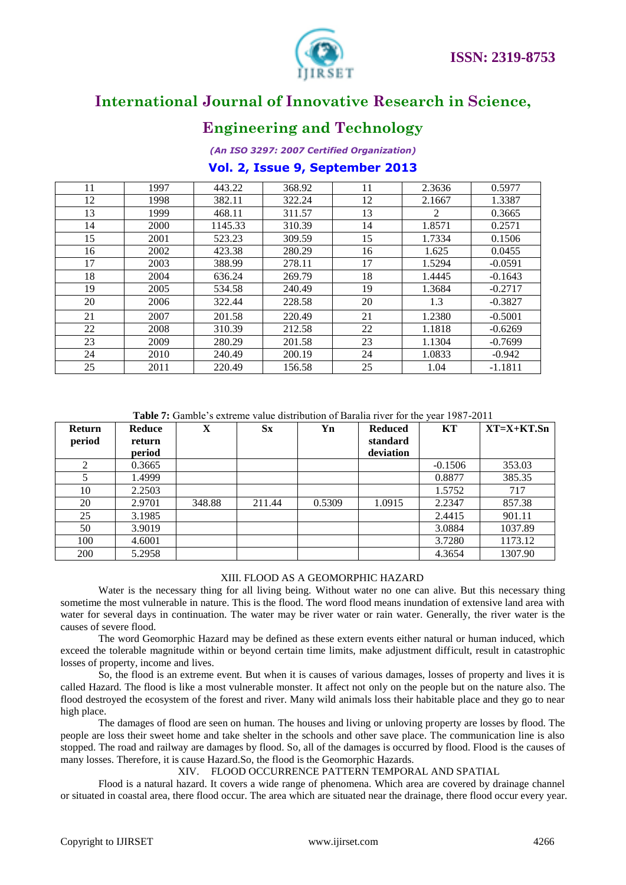

## **Engineering and Technology**

*(An ISO 3297: 2007 Certified Organization)*

### **Vol. 2, Issue 9, September 2013**

| 11 | 1997 | 443.22  | 368.92 | 11 | 2.3636 | 0.5977    |
|----|------|---------|--------|----|--------|-----------|
| 12 | 1998 | 382.11  | 322.24 | 12 | 2.1667 | 1.3387    |
| 13 | 1999 | 468.11  | 311.57 | 13 | 2      | 0.3665    |
| 14 | 2000 | 1145.33 | 310.39 | 14 | 1.8571 | 0.2571    |
| 15 | 2001 | 523.23  | 309.59 | 15 | 1.7334 | 0.1506    |
| 16 | 2002 | 423.38  | 280.29 | 16 | 1.625  | 0.0455    |
| 17 | 2003 | 388.99  | 278.11 | 17 | 1.5294 | $-0.0591$ |
| 18 | 2004 | 636.24  | 269.79 | 18 | 1.4445 | $-0.1643$ |
| 19 | 2005 | 534.58  | 240.49 | 19 | 1.3684 | $-0.2717$ |
| 20 | 2006 | 322.44  | 228.58 | 20 | 1.3    | $-0.3827$ |
| 21 | 2007 | 201.58  | 220.49 | 21 | 1.2380 | $-0.5001$ |
| 22 | 2008 | 310.39  | 212.58 | 22 | 1.1818 | $-0.6269$ |
| 23 | 2009 | 280.29  | 201.58 | 23 | 1.1304 | $-0.7699$ |
| 24 | 2010 | 240.49  | 200.19 | 24 | 1.0833 | $-0.942$  |
| 25 | 2011 | 220.49  | 156.58 | 25 | 1.04   | $-1.1811$ |

**Table 7:** Gamble"s extreme value distribution of Baralia river for the year 1987-2011

| Return<br>period | Reduce<br>return<br>period | X      | $S_{\mathbf{X}}$ | Yn     | <b>Reduced</b><br>standard<br>deviation | KT        | $XT=X+KT.Sn$ |
|------------------|----------------------------|--------|------------------|--------|-----------------------------------------|-----------|--------------|
| 2                | 0.3665                     |        |                  |        |                                         | $-0.1506$ | 353.03       |
|                  | 1.4999                     |        |                  |        |                                         | 0.8877    | 385.35       |
| 10               | 2.2503                     |        |                  |        |                                         | 1.5752    | 717          |
| 20               | 2.9701                     | 348.88 | 211.44           | 0.5309 | 1.0915                                  | 2.2347    | 857.38       |
| 25               | 3.1985                     |        |                  |        |                                         | 2.4415    | 901.11       |
| 50               | 3.9019                     |        |                  |        |                                         | 3.0884    | 1037.89      |
| 100              | 4.6001                     |        |                  |        |                                         | 3.7280    | 1173.12      |
| 200              | 5.2958                     |        |                  |        |                                         | 4.3654    | 1307.90      |

### XIII. FLOOD AS A GEOMORPHIC HAZARD

Water is the necessary thing for all living being. Without water no one can alive. But this necessary thing sometime the most vulnerable in nature. This is the flood. The word flood means inundation of extensive land area with water for several days in continuation. The water may be river water or rain water. Generally, the river water is the causes of severe flood.

The word Geomorphic Hazard may be defined as these extern events either natural or human induced, which exceed the tolerable magnitude within or beyond certain time limits, make adjustment difficult, result in catastrophic losses of property, income and lives.

So, the flood is an extreme event. But when it is causes of various damages, losses of property and lives it is called Hazard. The flood is like a most vulnerable monster. It affect not only on the people but on the nature also. The flood destroyed the ecosystem of the forest and river. Many wild animals loss their habitable place and they go to near high place.

The damages of flood are seen on human. The houses and living or unloving property are losses by flood. The people are loss their sweet home and take shelter in the schools and other save place. The communication line is also stopped. The road and railway are damages by flood. So, all of the damages is occurred by flood. Flood is the causes of many losses. Therefore, it is cause Hazard.So, the flood is the Geomorphic Hazards.

### XIV. FLOOD OCCURRENCE PATTERN TEMPORAL AND SPATIAL

Flood is a natural hazard. It covers a wide range of phenomena. Which area are covered by drainage channel or situated in coastal area, there flood occur. The area which are situated near the drainage, there flood occur every year.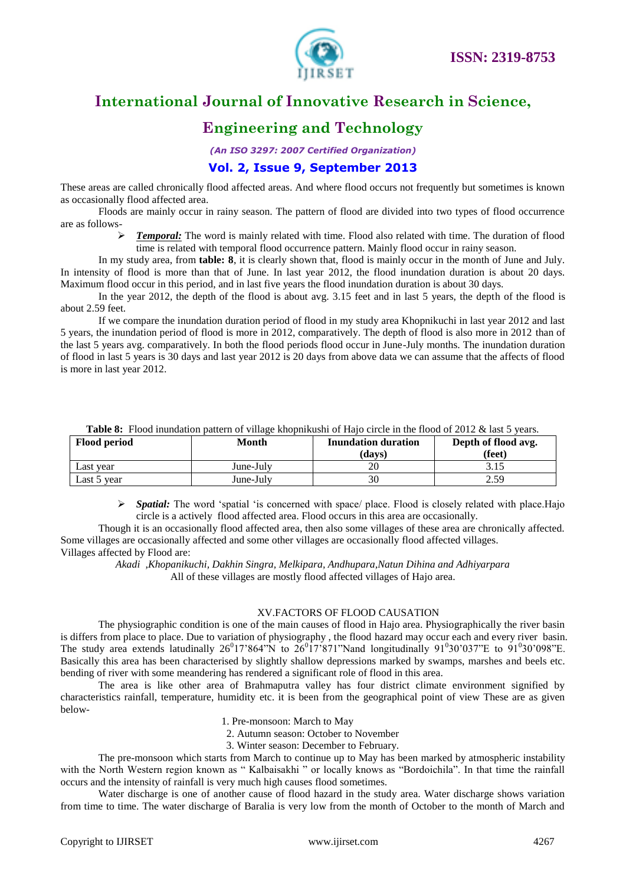



## **Engineering and Technology**

*(An ISO 3297: 2007 Certified Organization)*

### **Vol. 2, Issue 9, September 2013**

These areas are called chronically flood affected areas. And where flood occurs not frequently but sometimes is known as occasionally flood affected area.

Floods are mainly occur in rainy season. The pattern of flood are divided into two types of flood occurrence are as follows-

 *Temporal:* The word is mainly related with time. Flood also related with time. The duration of flood time is related with temporal flood occurrence pattern. Mainly flood occur in rainy season.

In my study area, from **table: 8**, it is clearly shown that, flood is mainly occur in the month of June and July. In intensity of flood is more than that of June. In last year 2012, the flood inundation duration is about 20 days. Maximum flood occur in this period, and in last five years the flood inundation duration is about 30 days.

In the year 2012, the depth of the flood is about avg. 3.15 feet and in last 5 years, the depth of the flood is about 2.59 feet.

If we compare the inundation duration period of flood in my study area Khopnikuchi in last year 2012 and last 5 years, the inundation period of flood is more in 2012, comparatively. The depth of flood is also more in 2012 than of the last 5 years avg. comparatively. In both the flood periods flood occur in June-July months. The inundation duration of flood in last 5 years is 30 days and last year 2012 is 20 days from above data we can assume that the affects of flood is more in last year 2012.

| <b>Flood period</b> | Month     | <b>Inundation duration</b><br>(davs) | Depth of flood avg.<br>(feet) |  |
|---------------------|-----------|--------------------------------------|-------------------------------|--|
| Last year           | June-Julv | 20                                   |                               |  |
| Last 5 year         | June-July |                                      | 2.59                          |  |

**Table 8:** Flood inundation pattern of village khopnikushi of Hajo circle in the flood of 2012 & last 5 years.

**Spatial:** The word 'spatial 'is concerned with space/ place. Flood is closely related with place. Hajo circle is a actively flood affected area. Flood occurs in this area are occasionally.

Though it is an occasionally flood affected area, then also some villages of these area are chronically affected. Some villages are occasionally affected and some other villages are occasionally flood affected villages. Villages affected by Flood are:

*Akadi ,Khopanikuchi, Dakhin Singra, Melkipara, Andhupara,Natun Dihina and Adhiyarpara*  All of these villages are mostly flood affected villages of Hajo area.

### XV.FACTORS OF FLOOD CAUSATION

The physiographic condition is one of the main causes of flood in Hajo area. Physiographically the river basin is differs from place to place. Due to variation of physiography , the flood hazard may occur each and every river basin. The study area extends latudinally  $26^017'864''N$  to  $26^017'871''N$  and longitudinally  $91^030'037''E$  to  $91^030'098''E$ . Basically this area has been characterised by slightly shallow depressions marked by swamps, marshes and beels etc. bending of river with some meandering has rendered a significant role of flood in this area.

The area is like other area of Brahmaputra valley has four district climate environment signified by characteristics rainfall, temperature, humidity etc. it is been from the geographical point of view These are as given below-

- 1. Pre-monsoon: March to May
- 2. Autumn season: October to November

3. Winter season: December to February.

The pre-monsoon which starts from March to continue up to May has been marked by atmospheric instability with the North Western region known as " Kalbaisakhi " or locally knows as "Bordoichila". In that time the rainfall occurs and the intensity of rainfall is very much high causes flood sometimes.

Water discharge is one of another cause of flood hazard in the study area. Water discharge shows variation from time to time. The water discharge of Baralia is very low from the month of October to the month of March and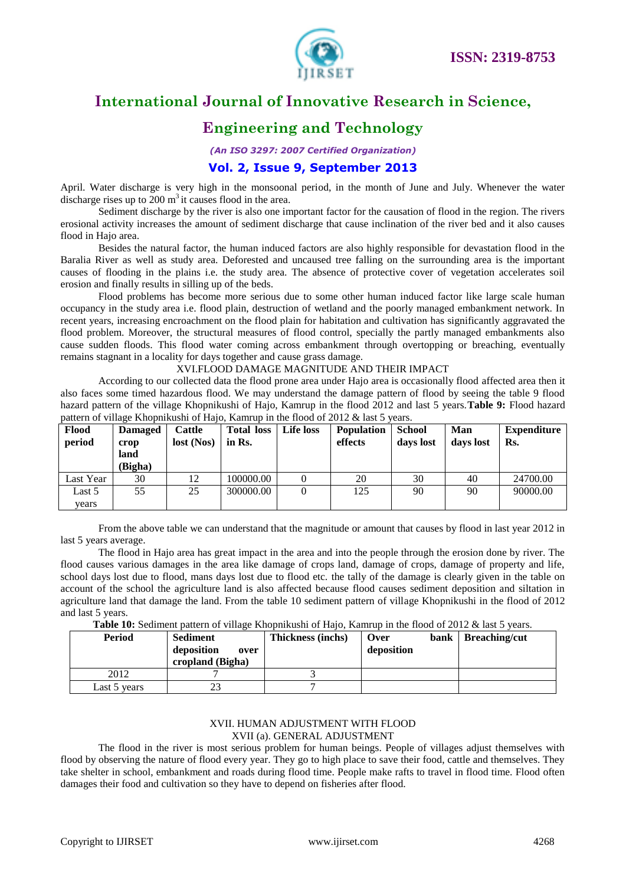

## **Engineering and Technology**

*(An ISO 3297: 2007 Certified Organization)*

### **Vol. 2, Issue 9, September 2013**

April. Water discharge is very high in the monsoonal period, in the month of June and July. Whenever the water discharge rises up to  $200 \text{ m}^3$  it causes flood in the area.

Sediment discharge by the river is also one important factor for the causation of flood in the region. The rivers erosional activity increases the amount of sediment discharge that cause inclination of the river bed and it also causes flood in Hajo area.

Besides the natural factor, the human induced factors are also highly responsible for devastation flood in the Baralia River as well as study area. Deforested and uncaused tree falling on the surrounding area is the important causes of flooding in the plains i.e. the study area. The absence of protective cover of vegetation accelerates soil erosion and finally results in silling up of the beds.

Flood problems has become more serious due to some other human induced factor like large scale human occupancy in the study area i.e. flood plain, destruction of wetland and the poorly managed embankment network. In recent years, increasing encroachment on the flood plain for habitation and cultivation has significantly aggravated the flood problem. Moreover, the structural measures of flood control, specially the partly managed embankments also cause sudden floods. This flood water coming across embankment through overtopping or breaching, eventually remains stagnant in a locality for days together and cause grass damage.

XVI.FLOOD DAMAGE MAGNITUDE AND THEIR IMPACT

According to our collected data the flood prone area under Hajo area is occasionally flood affected area then it also faces some timed hazardous flood. We may understand the damage pattern of flood by seeing the table 9 flood hazard pattern of the village Khopnikushi of Hajo, Kamrup in the flood 2012 and last 5 years.**Table 9:** Flood hazard pattern of village Khopnikushi of Hajo, Kamrup in the flood of 2012 & last 5 years.

| Flood<br>period | <b>Damaged</b><br>crop<br>land<br>(Bigha) | <b>Cattle</b><br>lost (Nos) | <b>Total loss</b><br>in Rs. | Life loss | <b>Population</b><br>effects | <b>School</b><br>days lost | Man<br>days lost | Expenditure<br>Rs. |
|-----------------|-------------------------------------------|-----------------------------|-----------------------------|-----------|------------------------------|----------------------------|------------------|--------------------|
| Last Year       | 30                                        | 12                          | 100000.00                   |           | 20                           | 30                         | 40               | 24700.00           |
| Last 5          | 55                                        | 25                          | 300000.00                   |           | 125                          | 90                         | 90               | 90000.00           |
| vears           |                                           |                             |                             |           |                              |                            |                  |                    |

From the above table we can understand that the magnitude or amount that causes by flood in last year 2012 in last 5 years average.

The flood in Hajo area has great impact in the area and into the people through the erosion done by river. The flood causes various damages in the area like damage of crops land, damage of crops, damage of property and life, school days lost due to flood, mans days lost due to flood etc. the tally of the damage is clearly given in the table on account of the school the agriculture land is also affected because flood causes sediment deposition and siltation in agriculture land that damage the land. From the table 10 sediment pattern of village Khopnikushi in the flood of 2012 and last 5 years.

**Table 10:** Sediment pattern of village Khopnikushi of Hajo, Kamrup in the flood of 2012 & last 5 years.

| Period       | <b>Sediment</b><br>deposition<br>over<br>cropland (Bigha) | <b>Thickness (inchs)</b> | Over<br>deposition | bank   Breaching/cut |
|--------------|-----------------------------------------------------------|--------------------------|--------------------|----------------------|
| 2012         |                                                           |                          |                    |                      |
| Last 5 years | 23                                                        |                          |                    |                      |

#### XVII. HUMAN ADJUSTMENT WITH FLOOD XVII (a). GENERAL ADJUSTMENT

The flood in the river is most serious problem for human beings. People of villages adjust themselves with flood by observing the nature of flood every year. They go to high place to save their food, cattle and themselves. They take shelter in school, embankment and roads during flood time. People make rafts to travel in flood time. Flood often damages their food and cultivation so they have to depend on fisheries after flood.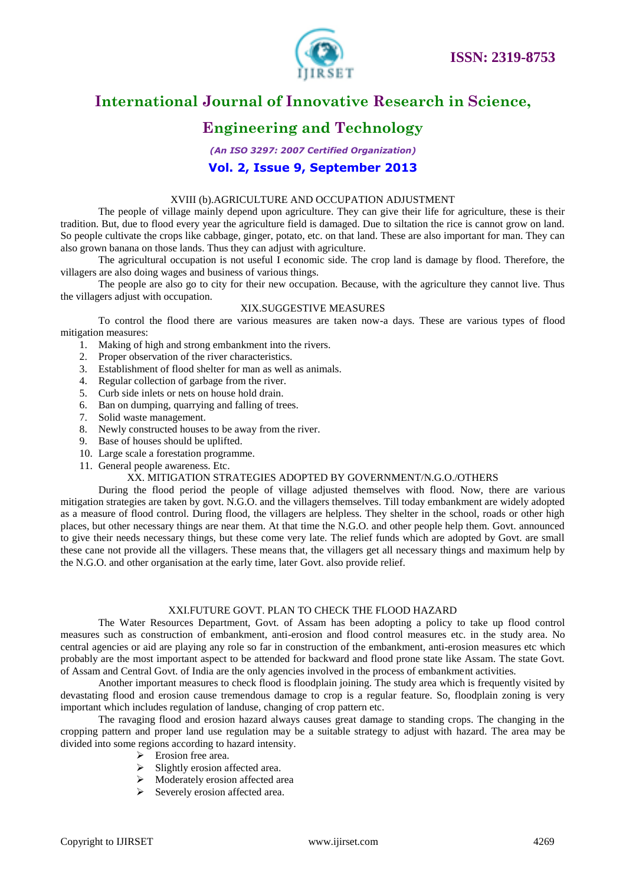

## **Engineering and Technology**

*(An ISO 3297: 2007 Certified Organization)* **Vol. 2, Issue 9, September 2013**

#### XVIII (b).AGRICULTURE AND OCCUPATION ADJUSTMENT

The people of village mainly depend upon agriculture. They can give their life for agriculture, these is their tradition. But, due to flood every year the agriculture field is damaged. Due to siltation the rice is cannot grow on land. So people cultivate the crops like cabbage, ginger, potato, etc. on that land. These are also important for man. They can also grown banana on those lands. Thus they can adjust with agriculture.

The agricultural occupation is not useful I economic side. The crop land is damage by flood. Therefore, the villagers are also doing wages and business of various things.

The people are also go to city for their new occupation. Because, with the agriculture they cannot live. Thus the villagers adjust with occupation.

### XIX.SUGGESTIVE MEASURES

To control the flood there are various measures are taken now-a days. These are various types of flood mitigation measures:

- 1. Making of high and strong embankment into the rivers.
- 2. Proper observation of the river characteristics.
- 3. Establishment of flood shelter for man as well as animals.
- 4. Regular collection of garbage from the river.
- 5. Curb side inlets or nets on house hold drain.
- 6. Ban on dumping, quarrying and falling of trees.
- 7. Solid waste management.
- 8. Newly constructed houses to be away from the river.
- 9. Base of houses should be uplifted.
- 10. Large scale a forestation programme.
- 11. General people awareness. Etc.

### XX. MITIGATION STRATEGIES ADOPTED BY GOVERNMENT/N.G.O./OTHERS

During the flood period the people of village adjusted themselves with flood. Now, there are various mitigation strategies are taken by govt. N.G.O. and the villagers themselves. Till today embankment are widely adopted as a measure of flood control. During flood, the villagers are helpless. They shelter in the school, roads or other high places, but other necessary things are near them. At that time the N.G.O. and other people help them. Govt. announced to give their needs necessary things, but these come very late. The relief funds which are adopted by Govt. are small these cane not provide all the villagers. These means that, the villagers get all necessary things and maximum help by the N.G.O. and other organisation at the early time, later Govt. also provide relief.

#### XXI.FUTURE GOVT. PLAN TO CHECK THE FLOOD HAZARD

 The Water Resources Department, Govt. of Assam has been adopting a policy to take up flood control measures such as construction of embankment, anti-erosion and flood control measures etc. in the study area. No central agencies or aid are playing any role so far in construction of the embankment, anti-erosion measures etc which probably are the most important aspect to be attended for backward and flood prone state like Assam. The state Govt. of Assam and Central Govt. of India are the only agencies involved in the process of embankment activities.

Another important measures to check flood is floodplain joining. The study area which is frequently visited by devastating flood and erosion cause tremendous damage to crop is a regular feature. So, floodplain zoning is very important which includes regulation of landuse, changing of crop pattern etc.

The ravaging flood and erosion hazard always causes great damage to standing crops. The changing in the cropping pattern and proper land use regulation may be a suitable strategy to adjust with hazard. The area may be divided into some regions according to hazard intensity.

- $\triangleright$  Erosion free area.
- $\triangleright$  Slightly erosion affected area.
- $\triangleright$  Moderately erosion affected area
- $\triangleright$  Severely erosion affected area.